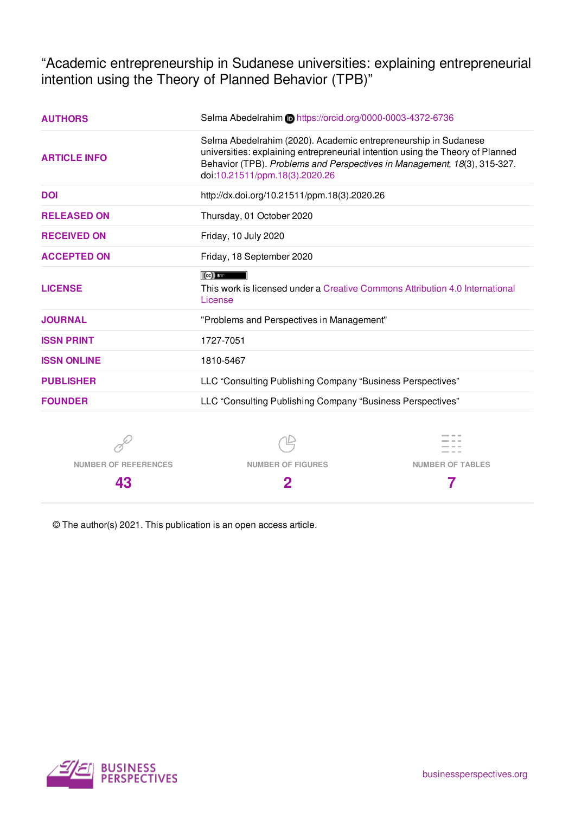"Academic entrepreneurship in Sudanese universities: explaining entrepreneurial intention using the Theory of Planned Behavior (TPB)"

| <b>AUTHORS</b>      | Selma Abedelrahim in https://orcid.org/0000-0003-4372-6736                                                                                                                                                                                                      |  |  |  |  |  |  |
|---------------------|-----------------------------------------------------------------------------------------------------------------------------------------------------------------------------------------------------------------------------------------------------------------|--|--|--|--|--|--|
| <b>ARTICLE INFO</b> | Selma Abedelrahim (2020). Academic entrepreneurship in Sudanese<br>universities: explaining entrepreneurial intention using the Theory of Planned<br>Behavior (TPB). Problems and Perspectives in Management, 18(3), 315-327.<br>doi:10.21511/ppm.18(3).2020.26 |  |  |  |  |  |  |
| <b>DOI</b>          | http://dx.doi.org/10.21511/ppm.18(3).2020.26                                                                                                                                                                                                                    |  |  |  |  |  |  |
| <b>RELEASED ON</b>  | Thursday, 01 October 2020                                                                                                                                                                                                                                       |  |  |  |  |  |  |
| <b>RECEIVED ON</b>  | Friday, 10 July 2020                                                                                                                                                                                                                                            |  |  |  |  |  |  |
| <b>ACCEPTED ON</b>  | Friday, 18 September 2020                                                                                                                                                                                                                                       |  |  |  |  |  |  |
| <b>LICENSE</b>      | $(cc)$ BY<br>This work is licensed under a Creative Commons Attribution 4.0 International<br>License                                                                                                                                                            |  |  |  |  |  |  |
| <b>JOURNAL</b>      | "Problems and Perspectives in Management"                                                                                                                                                                                                                       |  |  |  |  |  |  |
| <b>ISSN PRINT</b>   | 1727-7051                                                                                                                                                                                                                                                       |  |  |  |  |  |  |
| <b>ISSN ONLINE</b>  | 1810-5467                                                                                                                                                                                                                                                       |  |  |  |  |  |  |
| <b>PUBLISHER</b>    | LLC "Consulting Publishing Company "Business Perspectives"                                                                                                                                                                                                      |  |  |  |  |  |  |
| <b>FOUNDER</b>      | LLC "Consulting Publishing Company "Business Perspectives"                                                                                                                                                                                                      |  |  |  |  |  |  |
| 6.,                 | $\triangle$                                                                                                                                                                                                                                                     |  |  |  |  |  |  |







**43**

**NUMBER OF FIGURES 2**

**7**

© The author(s) 2021. This publication is an open access article.

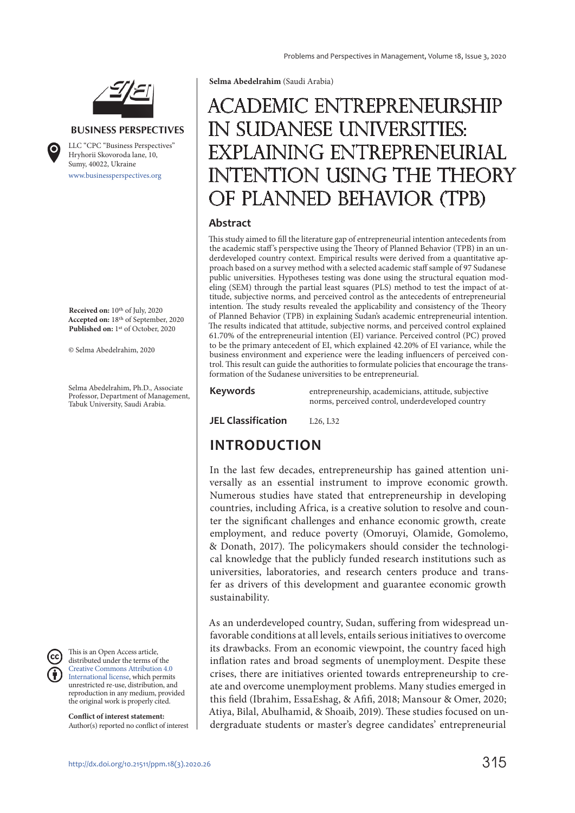

#### **BUSINESS PERSPECTIVES**

www.businessperspectives.org LLC "СPС "Business Perspectives" Hryhorii Skovoroda lane, 10, Sumy, 40022, Ukraine

**Received on:** 10th of July, 2020 **Accepted on:** 18th of September, 2020 **Published on:** 1st of October, 2020

© Selma Abedelrahim, 2020

Selma Abedelrahim, Ph.D., Associate Professor, Department of Management, Tabuk University, Saudi Arabia.

This is an Open Access article, distributed under the terms of the Creative Commons Attribution 4.0 International license, which permits unrestricted re-use, distribution, and reproduction in any medium, provided the original work is properly cited.

**Conflict of interest statement:**  Author(s) reported no conflict of interest **Selma Abedelrahim** (Saudi Arabia)

# Academic entrepreneurship in Sudanese universities: explaining entrepreneurial intention using the Theory of Planned Behavior (TPB)

#### **Abstract**

This study aimed to fill the literature gap of entrepreneurial intention antecedents from the academic staff 's perspective using the Theory of Planned Behavior (TPB) in an underdeveloped country context. Empirical results were derived from a quantitative approach based on a survey method with a selected academic staff sample of 97 Sudanese public universities. Hypotheses testing was done using the structural equation modeling (SEM) through the partial least squares (PLS) method to test the impact of attitude, subjective norms, and perceived control as the antecedents of entrepreneurial intention. The study results revealed the applicability and consistency of the Theory of Planned Behavior (TPB) in explaining Sudan's academic entrepreneurial intention. The results indicated that attitude, subjective norms, and perceived control explained 61.70% of the entrepreneurial intention (EI) variance. Perceived control (PC) proved to be the primary antecedent of EI, which explained 42.20% of EI variance, while the business environment and experience were the leading influencers of perceived control. This result can guide the authorities to formulate policies that encourage the transformation of the Sudanese universities to be entrepreneurial.

**Keywords** entrepreneurship, academicians, attitude, subjective norms, perceived control, underdeveloped country

**JEL Classification** L<sub>26</sub> L32

### **INTRODUCTION**

In the last few decades, entrepreneurship has gained attention universally as an essential instrument to improve economic growth. Numerous studies have stated that entrepreneurship in developing countries, including Africa, is a creative solution to resolve and counter the significant challenges and enhance economic growth, create employment, and reduce poverty (Omoruyi, Olamide, Gomolemo, & Donath, 2017). The policymakers should consider the technological knowledge that the publicly funded research institutions such as universities, laboratories, and research centers produce and transfer as drivers of this development and guarantee economic growth sustainability.

As an underdeveloped country, Sudan, suffering from widespread unfavorable conditions at all levels, entails serious initiatives to overcome its drawbacks. From an economic viewpoint, the country faced high inflation rates and broad segments of unemployment. Despite these crises, there are initiatives oriented towards entrepreneurship to create and overcome unemployment problems. Many studies emerged in this field (Ibrahim, EssaEshag, & Afifi, 2018; Mansour & Omer, 2020; Atiya, Bilal, Abulhamid, & Shoaib, 2019). These studies focused on undergraduate students or master's degree candidates' entrepreneurial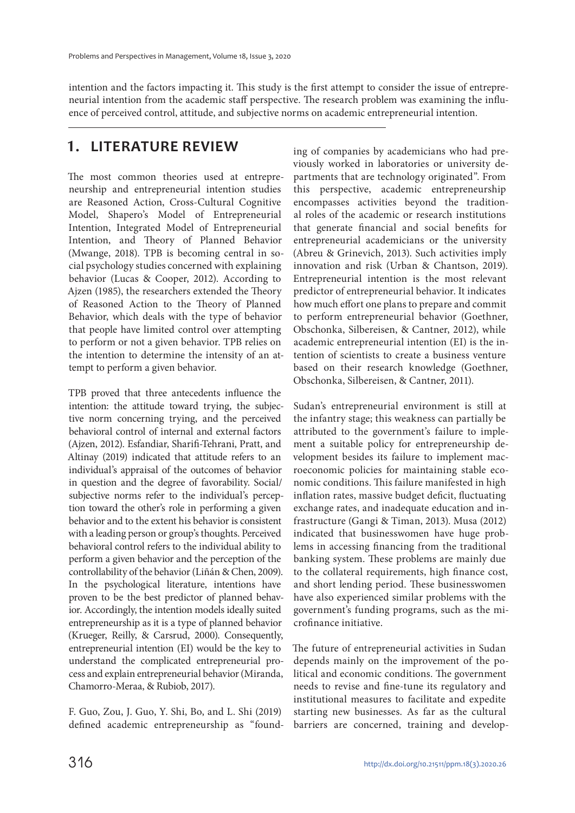intention and the factors impacting it. This study is the first attempt to consider the issue of entrepreneurial intention from the academic staff perspective. The research problem was examining the influence of perceived control, attitude, and subjective norms on academic entrepreneurial intention.

### **1. LITERATURE REVIEW**

The most common theories used at entrepreneurship and entrepreneurial intention studies are Reasoned Action, Cross-Cultural Cognitive Model, Shapero's Model of Entrepreneurial Intention, Integrated Model of Entrepreneurial Intention, and Theory of Planned Behavior (Mwange, 2018). TPB is becoming central in social psychology studies concerned with explaining behavior (Lucas & Cooper, 2012). According to Ajzen (1985), the researchers extended the Theory of Reasoned Action to the Theory of Planned Behavior, which deals with the type of behavior that people have limited control over attempting to perform or not a given behavior. TPB relies on the intention to determine the intensity of an attempt to perform a given behavior.

TPB proved that three antecedents influence the intention: the attitude toward trying, the subjective norm concerning trying, and the perceived behavioral control of internal and external factors (Ajzen, 2012). Esfandiar, Sharifi-Tehrani, Pratt, and Altinay (2019) indicated that attitude refers to an individual's appraisal of the outcomes of behavior in question and the degree of favorability. Social/ subjective norms refer to the individual's perception toward the other's role in performing a given behavior and to the extent his behavior is consistent with a leading person or group's thoughts. Perceived behavioral control refers to the individual ability to perform a given behavior and the perception of the controllability of the behavior (Liñán & Chen, 2009). In the psychological literature, intentions have proven to be the best predictor of planned behavior. Accordingly, the intention models ideally suited entrepreneurship as it is a type of planned behavior (Krueger, Reilly, & Carsrud, 2000). Consequently, entrepreneurial intention (EI) would be the key to understand the complicated entrepreneurial process and explain entrepreneurial behavior (Miranda, Chamorro-Meraa, & Rubiob, 2017).

F. Guo, Zou, J. Guo, Y. Shi, Bo, and L. Shi (2019) defined academic entrepreneurship as "founding of companies by academicians who had previously worked in laboratories or university departments that are technology originated". From this perspective, academic entrepreneurship encompasses activities beyond the traditional roles of the academic or research institutions that generate financial and social benefits for entrepreneurial academicians or the university (Abreu & Grinevich, 2013). Such activities imply innovation and risk (Urban & Chantson, 2019). Entrepreneurial intention is the most relevant predictor of entrepreneurial behavior. It indicates how much effort one plans to prepare and commit to perform entrepreneurial behavior (Goethner, Obschonka, Silbereisen, & Cantner, 2012), while academic entrepreneurial intention (EI) is the intention of scientists to create a business venture based on their research knowledge (Goethner, Obschonka, Silbereisen, & Cantner, 2011).

Sudan's entrepreneurial environment is still at the infantry stage; this weakness can partially be attributed to the government's failure to implement a suitable policy for entrepreneurship development besides its failure to implement macroeconomic policies for maintaining stable economic conditions. This failure manifested in high inflation rates, massive budget deficit, fluctuating exchange rates, and inadequate education and infrastructure (Gangi & Timan, 2013). Musa (2012) indicated that businesswomen have huge problems in accessing financing from the traditional banking system. These problems are mainly due to the collateral requirements, high finance cost, and short lending period. These businesswomen have also experienced similar problems with the government's funding programs, such as the microfinance initiative.

The future of entrepreneurial activities in Sudan depends mainly on the improvement of the political and economic conditions. The government needs to revise and fine-tune its regulatory and institutional measures to facilitate and expedite starting new businesses. As far as the cultural barriers are concerned, training and develop-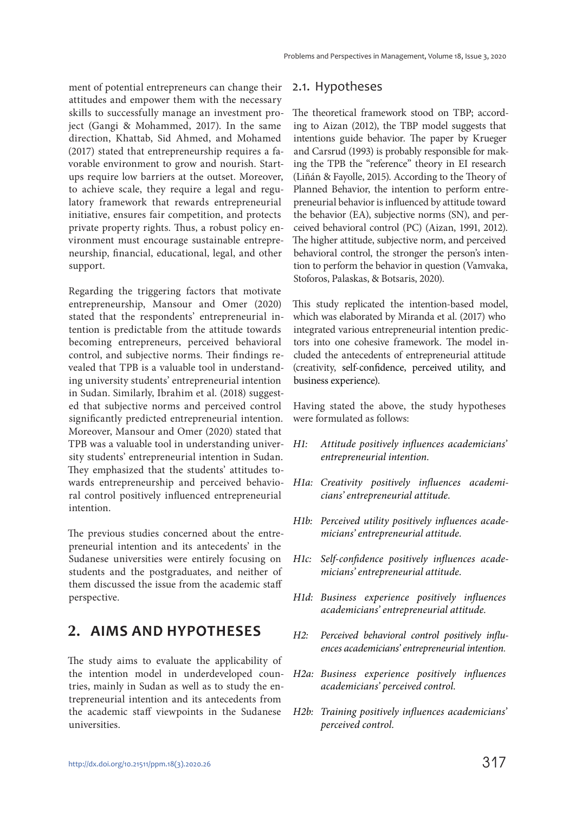ment of potential entrepreneurs can change their attitudes and empower them with the necessary skills to successfully manage an investment project (Gangi & Mohammed, 2017). In the same direction, Khattab, Sid Ahmed, and Mohamed (2017) stated that entrepreneurship requires a favorable environment to grow and nourish. Startups require low barriers at the outset. Moreover, to achieve scale, they require a legal and regulatory framework that rewards entrepreneurial initiative, ensures fair competition, and protects private property rights. Thus, a robust policy environment must encourage sustainable entrepreneurship, financial, educational, legal, and other support.

Regarding the triggering factors that motivate entrepreneurship, Mansour and Omer (2020) stated that the respondents' entrepreneurial intention is predictable from the attitude towards becoming entrepreneurs, perceived behavioral control, and subjective norms. Their findings revealed that TPB is a valuable tool in understanding university students' entrepreneurial intention in Sudan. Similarly, Ibrahim et al. (2018) suggested that subjective norms and perceived control significantly predicted entrepreneurial intention. Moreover, Mansour and Omer (2020) stated that TPB was a valuable tool in understanding university students' entrepreneurial intention in Sudan. They emphasized that the students' attitudes towards entrepreneurship and perceived behavioral control positively influenced entrepreneurial intention.

The previous studies concerned about the entrepreneurial intention and its antecedents' in the Sudanese universities were entirely focusing on students and the postgraduates, and neither of them discussed the issue from the academic staff perspective.

### **2. AIMS AND HYPOTHESES**

The study aims to evaluate the applicability of the intention model in underdeveloped countries, mainly in Sudan as well as to study the entrepreneurial intention and its antecedents from the academic staff viewpoints in the Sudanese universities.

#### 2.1. Hypotheses

The theoretical framework stood on TBP; according to Aizan (2012), the TBP model suggests that intentions guide behavior. The paper by Krueger and Carsrud (1993) is probably responsible for making the TPB the "reference" theory in EI research (Liñán & Fayolle, 2015). According to the Theory of Planned Behavior, the intention to perform entrepreneurial behavior is influenced by attitude toward the behavior (EA), subjective norms (SN), and perceived behavioral control (PC) (Aizan, 1991, 2012). The higher attitude, subjective norm, and perceived behavioral control, the stronger the person's intention to perform the behavior in question (Vamvaka, Stoforos, Palaskas, & Botsaris, 2020).

This study replicated the intention-based model, which was elaborated by Miranda et al. (2017) who integrated various entrepreneurial intention predictors into one cohesive framework. The model included the antecedents of entrepreneurial attitude (creativity, self-confidence, perceived utility, and business experience).

Having stated the above, the study hypotheses were formulated as follows:

- H1: Attitude positively influences academicians' entrepreneurial intention.
- H1a: Creativity positively influences academicians' entrepreneurial attitude.
- H1b: Perceived utility positively influences academicians' entrepreneurial attitude.
- H1c: Self-confidence positively influences academicians' entrepreneurial attitude.
- H1d: Business experience positively influences academicians' entrepreneurial attitude.
- H2: Perceived behavioral control positively influences academicians' entrepreneurial intention.
- H2a: Business experience positively influences academicians' perceived control.
- H2b: Training positively influences academicians' perceived control.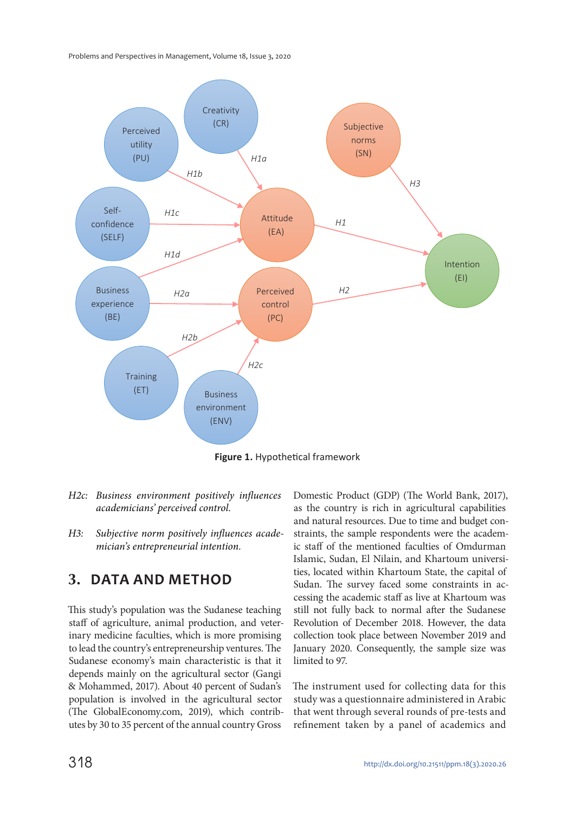Problems and Perspectives in Management, Volume 18, Issue 3, 2020



**Figure 1.** Hypothetical framework

- H2c: Business environment positively influences academicians' perceived control.
- H3: Subjective norm positively influences academician's entrepreneurial intention.

### **3. DATA AND METHOD**

This study's population was the Sudanese teaching staff of agriculture, animal production, and veterinary medicine faculties, which is more promising to lead the country's entrepreneurship ventures. The Sudanese economy's main characteristic is that it depends mainly on the agricultural sector (Gangi & Mohammed, 2017). About 40 percent of Sudan's population is involved in the agricultural sector (The GlobalEconomy.com, 2019), which contributes by 30 to 35 percent of the annual country Gross

Domestic Product (GDP) (The World Bank, 2017), as the country is rich in agricultural capabilities and natural resources. Due to time and budget constraints, the sample respondents were the academic staff of the mentioned faculties of Omdurman Islamic, Sudan, El Nilain, and Khartoum universities, located within Khartoum State, the capital of Sudan. The survey faced some constraints in accessing the academic staff as live at Khartoum was still not fully back to normal after the Sudanese Revolution of December 2018. However, the data collection took place between November 2019 and January 2020. Consequently, the sample size was limited to 97.

The instrument used for collecting data for this study was a questionnaire administered in Arabic that went through several rounds of pre-tests and refinement taken by a panel of academics and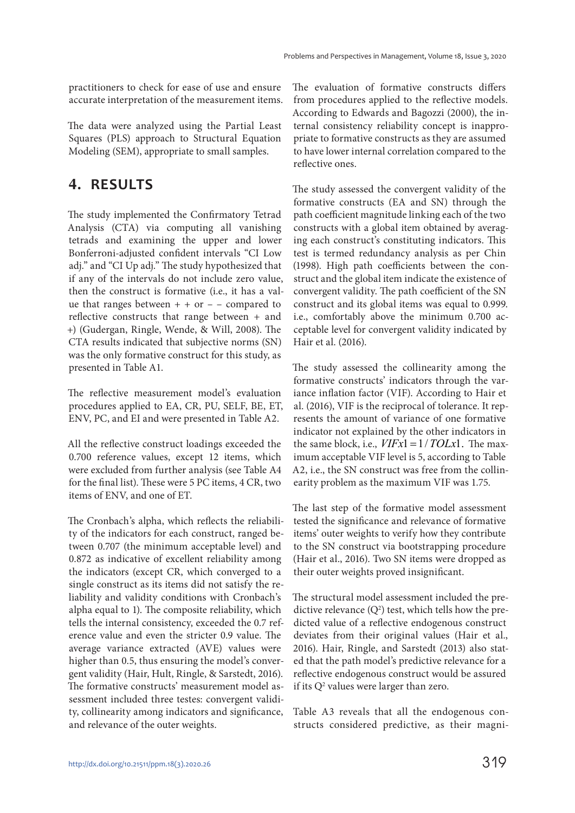practitioners to check for ease of use and ensure accurate interpretation of the measurement items.

The data were analyzed using the Partial Least Squares (PLS) approach to Structural Equation Modeling (SEM), appropriate to small samples.

### **4. RESULTS**

The study implemented the Confirmatory Tetrad Analysis (CTA) via computing all vanishing tetrads and examining the upper and lower Bonferroni-adjusted confident intervals "CI Low adj." and "CI Up adj." The study hypothesized that if any of the intervals do not include zero value, then the construct is formative (i.e., it has a value that ranges between  $+ +$  or  $-$  – compared to reflective constructs that range between + and +) (Gudergan, Ringle, Wende, & Will, 2008). The CTA results indicated that subjective norms (SN) was the only formative construct for this study, as presented in Table A1.

The reflective measurement model's evaluation procedures applied to EA, CR, PU, SELF, BE, ET, ENV, PC, and EI and were presented in Table A2.

All the reflective construct loadings exceeded the 0.700 reference values, except 12 items, which were excluded from further analysis (see Table A4 for the final list). These were 5 PC items, 4 CR, two items of ENV, and one of ET.

The Cronbach's alpha, which reflects the reliability of the indicators for each construct, ranged between 0.707 (the minimum acceptable level) and 0.872 as indicative of excellent reliability among the indicators (except CR, which converged to a single construct as its items did not satisfy the reliability and validity conditions with Cronbach's alpha equal to 1). The composite reliability, which tells the internal consistency, exceeded the 0.7 reference value and even the stricter 0.9 value. The average variance extracted (AVE) values were higher than 0.5, thus ensuring the model's convergent validity (Hair, Hult, Ringle, & Sarstedt, 2016). The formative constructs' measurement model assessment included three testes: convergent validity, collinearity among indicators and significance, and relevance of the outer weights.

The evaluation of formative constructs differs from procedures applied to the reflective models. According to Edwards and Bagozzi (2000), the internal consistency reliability concept is inappropriate to formative constructs as they are assumed to have lower internal correlation compared to the reflective ones.

The study assessed the convergent validity of the formative constructs (EA and SN) through the path coefficient magnitude linking each of the two constructs with a global item obtained by averaging each construct's constituting indicators. This test is termed redundancy analysis as per Chin (1998). High path coefficients between the construct and the global item indicate the existence of convergent validity. The path coefficient of the SN construct and its global items was equal to 0.999. i.e., comfortably above the minimum 0.700 acceptable level for convergent validity indicated by Hair et al. (2016).

The study assessed the collinearity among the formative constructs' indicators through the variance inflation factor (VIF). According to Hair et al. (2016), VIF is the reciprocal of tolerance. It represents the amount of variance of one formative indicator not explained by the other indicators in the same block, i.e.,  $VIFx1 = 1/TOLx1$ . The maximum acceptable VIF level is 5, according to Table A2, i.e., the SN construct was free from the collinearity problem as the maximum VIF was 1.75.

The last step of the formative model assessment tested the significance and relevance of formative items' outer weights to verify how they contribute to the SN construct via bootstrapping procedure (Hair et al., 2016). Two SN items were dropped as their outer weights proved insignificant.

The structural model assessment included the predictive relevance  $(Q^2)$  test, which tells how the predicted value of a reflective endogenous construct deviates from their original values (Hair et al., 2016). Hair, Ringle, and Sarstedt (2013) also stated that the path model's predictive relevance for a reflective endogenous construct would be assured if its  $Q^2$  values were larger than zero.

Table A3 reveals that all the endogenous constructs considered predictive, as their magni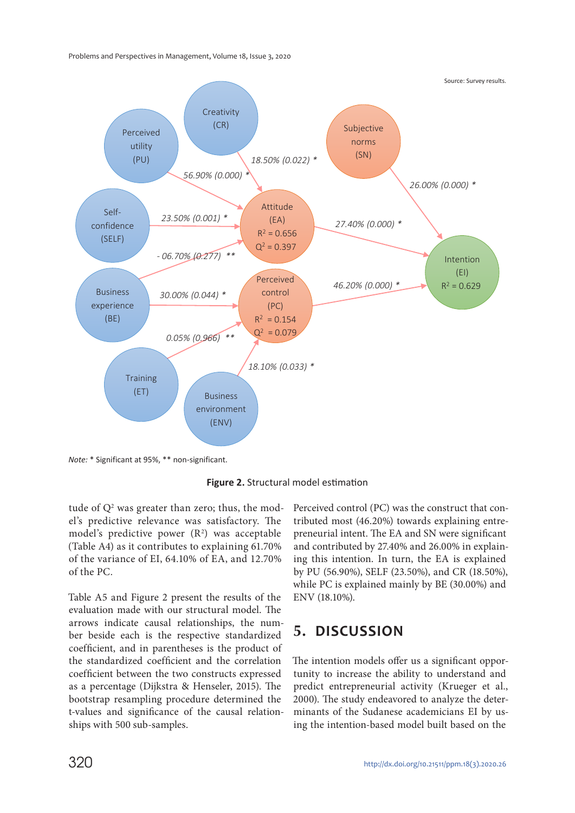Problems and Perspectives in Management, Volume 18, Issue 3, 2020



*Note:* \* Significant at 95%, \*\* non-significant.



tude of  $Q^2$  was greater than zero; thus, the model's predictive relevance was satisfactory. The model's predictive power  $(R^2)$  was acceptable (Table A4) as it contributes to explaining 61.70% of the variance of EI, 64.10% of EA, and 12.70% of the PC.

Table A5 and Figure 2 present the results of the evaluation made with our structural model. The arrows indicate causal relationships, the number beside each is the respective standardized coefficient, and in parentheses is the product of the standardized coefficient and the correlation coefficient between the two constructs expressed as a percentage (Dijkstra & Henseler, 2015). The bootstrap resampling procedure determined the t-values and significance of the causal relationships with 500 sub-samples.

Perceived control (PC) was the construct that contributed most (46.20%) towards explaining entrepreneurial intent. The EA and SN were significant and contributed by 27.40% and 26.00% in explaining this intention. In turn, the EA is explained by PU (56.90%), SELF (23.50%), and CR (18.50%), while PC is explained mainly by BE (30.00%) and ENV (18.10%).

## **5. DISCUSSION**

The intention models offer us a significant opportunity to increase the ability to understand and predict entrepreneurial activity (Krueger et al., 2000). The study endeavored to analyze the determinants of the Sudanese academicians EI by using the intention-based model built based on the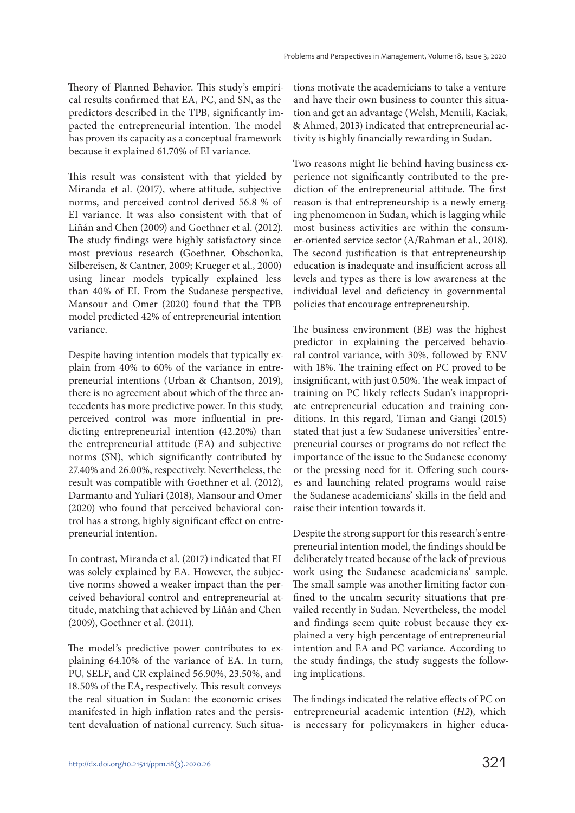Theory of Planned Behavior. This study's empirical results confirmed that EA, PC, and SN, as the predictors described in the TPB, significantly impacted the entrepreneurial intention. The model has proven its capacity as a conceptual framework because it explained 61.70% of EI variance.

This result was consistent with that yielded by Miranda et al. (2017), where attitude, subjective norms, and perceived control derived 56.8 % of EI variance. It was also consistent with that of Liñán and Chen (2009) and Goethner et al. (2012). The study findings were highly satisfactory since most previous research (Goethner, Obschonka, Silbereisen, & Cantner, 2009; Krueger et al., 2000) using linear models typically explained less than 40% of EI. From the Sudanese perspective, Mansour and Omer (2020) found that the TPB model predicted 42% of entrepreneurial intention variance.

Despite having intention models that typically explain from 40% to 60% of the variance in entrepreneurial intentions (Urban & Chantson, 2019), there is no agreement about which of the three antecedents has more predictive power. In this study, perceived control was more influential in predicting entrepreneurial intention (42.20%) than the entrepreneurial attitude (EA) and subjective norms (SN), which significantly contributed by 27.40% and 26.00%, respectively. Nevertheless, the result was compatible with Goethner et al. (2012), Darmanto and Yuliari (2018), Mansour and Omer (2020) who found that perceived behavioral control has a strong, highly significant effect on entrepreneurial intention.

In contrast, Miranda et al. (2017) indicated that EI was solely explained by EA. However, the subjective norms showed a weaker impact than the perceived behavioral control and entrepreneurial attitude, matching that achieved by Liñán and Chen (2009), Goethner et al. (2011).

The model's predictive power contributes to explaining 64.10% of the variance of EA. In turn, PU, SELF, and CR explained 56.90%, 23.50%, and 18.50% of the EA, respectively. This result conveys the real situation in Sudan: the economic crises manifested in high inflation rates and the persistent devaluation of national currency. Such situations motivate the academicians to take a venture and have their own business to counter this situation and get an advantage (Welsh, Memili, Kaciak, & Ahmed, 2013) indicated that entrepreneurial activity is highly financially rewarding in Sudan.

Two reasons might lie behind having business experience not significantly contributed to the prediction of the entrepreneurial attitude. The first reason is that entrepreneurship is a newly emerging phenomenon in Sudan, which is lagging while most business activities are within the consumer-oriented service sector (A/Rahman et al., 2018). The second justification is that entrepreneurship education is inadequate and insufficient across all levels and types as there is low awareness at the individual level and deficiency in governmental policies that encourage entrepreneurship.

The business environment (BE) was the highest predictor in explaining the perceived behavioral control variance, with 30%, followed by ENV with 18%. The training effect on PC proved to be insignificant, with just 0.50%. The weak impact of training on PC likely reflects Sudan's inappropriate entrepreneurial education and training conditions. In this regard, Timan and Gangi (2015) stated that just a few Sudanese universities' entrepreneurial courses or programs do not reflect the importance of the issue to the Sudanese economy or the pressing need for it. Offering such courses and launching related programs would raise the Sudanese academicians' skills in the field and raise their intention towards it.

Despite the strong support for this research's entrepreneurial intention model, the findings should be deliberately treated because of the lack of previous work using the Sudanese academicians' sample. The small sample was another limiting factor confined to the uncalm security situations that prevailed recently in Sudan. Nevertheless, the model and findings seem quite robust because they explained a very high percentage of entrepreneurial intention and EA and PC variance. According to the study findings, the study suggests the following implications.

The findings indicated the relative effects of PC on entrepreneurial academic intention (H2), which is necessary for policymakers in higher educa-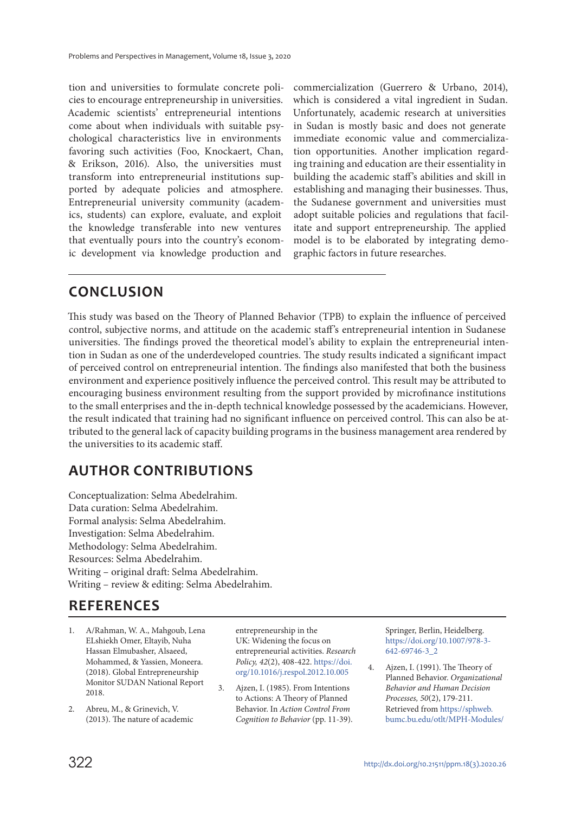tion and universities to formulate concrete policies to encourage entrepreneurship in universities. Academic scientists' entrepreneurial intentions come about when individuals with suitable psychological characteristics live in environments favoring such activities (Foo, Knockaert, Chan, & Erikson, 2016). Also, the universities must transform into entrepreneurial institutions supported by adequate policies and atmosphere. Entrepreneurial university community (academics, students) can explore, evaluate, and exploit the knowledge transferable into new ventures that eventually pours into the country's economic development via knowledge production and

commercialization (Guerrero & Urbano, 2014), which is considered a vital ingredient in Sudan. Unfortunately, academic research at universities in Sudan is mostly basic and does not generate immediate economic value and commercialization opportunities. Another implication regarding training and education are their essentiality in building the academic staff's abilities and skill in establishing and managing their businesses. Thus, the Sudanese government and universities must adopt suitable policies and regulations that facilitate and support entrepreneurship. The applied model is to be elaborated by integrating demographic factors in future researches.

### **CONCLUSION**

This study was based on the Theory of Planned Behavior (TPB) to explain the influence of perceived control, subjective norms, and attitude on the academic staff's entrepreneurial intention in Sudanese universities. The findings proved the theoretical model's ability to explain the entrepreneurial intention in Sudan as one of the underdeveloped countries. The study results indicated a significant impact of perceived control on entrepreneurial intention. The findings also manifested that both the business environment and experience positively influence the perceived control. This result may be attributed to encouraging business environment resulting from the support provided by microfinance institutions to the small enterprises and the in-depth technical knowledge possessed by the academicians. However, the result indicated that training had no significant influence on perceived control. This can also be attributed to the general lack of capacity building programs in the business management area rendered by the universities to its academic staff.

### **AUTHOR CONTRIBUTIONS**

Conceptualization: Selma Abedelrahim. Data curation: Selma Abedelrahim. Formal analysis: Selma Abedelrahim. Investigation: Selma Abedelrahim. Methodology: Selma Abedelrahim. Resources: Selma Abedelrahim. Writing – original draft: Selma Abedelrahim. Writing – review & editing: Selma Abedelrahim.

### **REFERENCES**

- 1. A/Rahman, W. A., Mahgoub, Lena ELshiekh Omer, Eltayib, Nuha Hassan Elmubasher, Alsaeed, Mohammed, & Yassien, Moneera. (2018). Global Entrepreneurship Monitor SUDAN National Report 2018.
- 2. Abreu, M., & Grinevich, V. (2013). The nature of academic

entrepreneurship in the UK: Widening the focus on entrepreneurial activities. Research Policy, 42(2), 408-422. https://doi. org/10.1016/j.respol.2012.10.005

3. Ajzen, I. (1985). From Intentions to Actions: A Theory of Planned Behavior. In Action Control From Cognition to Behavior (pp. 11-39). Springer, Berlin, Heidelberg. https://doi.org/10.1007/978-3- 642-69746-3\_2

4. Ajzen, I. (1991). The Theory of Planned Behavior. Organizational Behavior and Human Decision Processes, 50(2), 179-211. Retrieved from https://sphweb. bumc.bu.edu/otlt/MPH-Modules/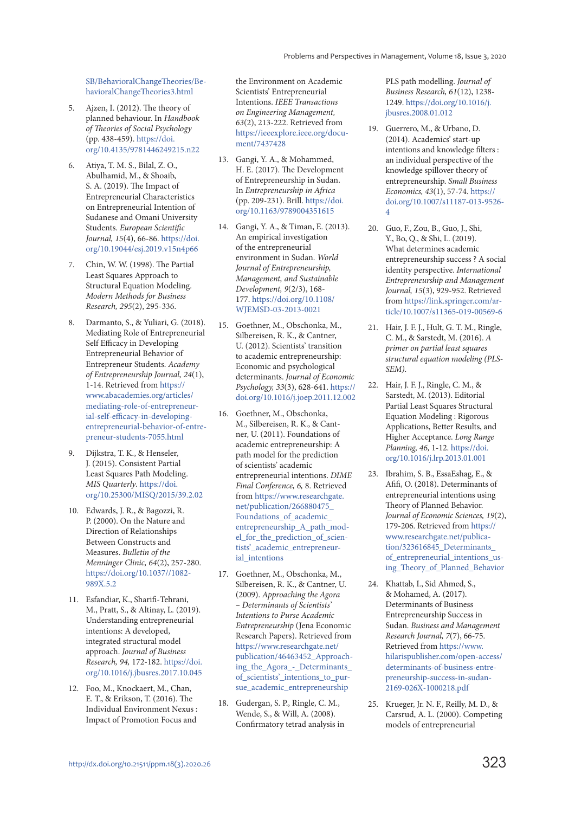SB/BehavioralChangeTheories/BehavioralChangeTheories3.html

- 5. Ajzen, I. (2012). The theory of planned behaviour. In Handbook of Theories of Social Psychology (pp. 438-459). https://doi. org/10.4135/9781446249215.n22
- 6. Atiya, T. M. S., Bilal, Z. O., Abulhamid, M., & Shoaib, S. A. (2019). The Impact of Entrepreneurial Characteristics on Entrepreneurial Intention of Sudanese and Omani University Students. European Scientific Journal, 15(4), 66-86. https://doi. org/10.19044/esj.2019.v15n4p66
- 7. Chin, W. W. (1998). The Partial Least Squares Approach to Structural Equation Modeling. Modern Methods for Business Research, 295(2), 295-336.
- Darmanto, S., & Yuliari, G. (2018). Mediating Role of Entrepreneurial Self Efficacy in Developing Entrepreneurial Behavior of Entrepreneur Students. Academy of Entrepreneurship Journal, 24(1), 1-14. Retrieved from https:// www.abacademies.org/articles/ mediating-role-of-entrepreneurial-self-efficacy-in-developingentrepreneurial-behavior-of-entrepreneur-students-7055.html
- Dijkstra, T. K., & Henseler, J. (2015). Consistent Partial Least Squares Path Modeling. MIS Quarterly. https://doi. org/10.25300/MISQ/2015/39.2.02
- 10. Edwards, J. R., & Bagozzi, R. P. (2000). On the Nature and Direction of Relationships Between Constructs and Measures. Bulletin of the Menninger Clinic, 64(2), 257-280. https://doi.org/10.1037//1082- 989X.5.2
- 11. Esfandiar, K., Sharifi-Tehrani, M., Pratt, S., & Altinay, L. (2019). Understanding entrepreneurial intentions: A developed, integrated structural model approach. Journal of Business Research, 94, 172-182. https://doi. org/10.1016/j.jbusres.2017.10.045
- 12. Foo, M., Knockaert, M., Chan, E. T., & Erikson, T. (2016). The Individual Environment Nexus : Impact of Promotion Focus and

the Environment on Academic Scientists' Entrepreneurial Intentions. IEEE Transactions on Engineering Management, 63(2), 213-222. Retrieved from https://ieeexplore.ieee.org/document/7437428

- 13. Gangi, Y. A., & Mohammed, H. E. (2017). The Development of Entrepreneurship in Sudan. In Entrepreneurship in Africa (pp. 209-231). Brill. https://doi. org/10.1163/9789004351615
- 14. Gangi, Y. A., & Timan, E. (2013). An empirical investigation of the entrepreneurial environment in Sudan. World Journal of Entrepreneurship, Management, and Sustainable Development, 9(2/3), 168- 177. https://doi.org/10.1108/ WJEMSD-03-2013-0021
- 15. Goethner, M., Obschonka, M., Silbereisen, R. K., & Cantner, U. (2012). Scientists' transition to academic entrepreneurship: Economic and psychological determinants. Journal of Economic Psychology, 33(3), 628-641. https:// doi.org/10.1016/j.joep.2011.12.002
- 16. Goethner, M., Obschonka, M., Silbereisen, R. K., & Cantner, U. (2011). Foundations of academic entrepreneurship: A path model for the prediction of scientists' academic entrepreneurial intentions. DIME Final Conference, 6, 8. Retrieved from https://www.researchgate. net/publication/266880475\_ Foundations\_of\_academic\_ entrepreneurship\_A\_path\_model for the prediction of scientists'\_academic\_entrepreneurial intentions
- 17. Goethner, M., Obschonka, M., Silbereisen, R. K., & Cantner, U. (2009). Approaching the Agora – Determinants of Scientists' Intentions to Purse Academic Entrepreneurship (Jena Economic Research Papers). Retrieved from https://www.researchgate.net/ publication/46463452\_Approaching\_the\_Agora\_-\_Determinants\_ of\_scientists'\_intentions\_to\_pursue\_academic\_entrepreneurship
- 18. Gudergan, S. P., Ringle, C. M., Wende, S., & Will, A. (2008). Confirmatory tetrad analysis in

PLS path modelling. Journal of Business Research, 61(12), 1238- 1249. https://doi.org/10.1016/j. jbusres.2008.01.012

- 19. Guerrero, M., & Urbano, D. (2014). Academics' start-up intentions and knowledge filters : an individual perspective of the knowledge spillover theory of entrepreneurship. Small Business Economics, 43(1), 57-74. https:// doi.org/10.1007/s11187-013-9526- 4
- 20. Guo, F., Zou, B., Guo, J., Shi, Y., Bo, Q., & Shi, L. (2019). What determines academic entrepreneurship success ? A social identity perspective. International Entrepreneurship and Management Journal, 15(3), 929-952. Retrieved from https://link.springer.com/article/10.1007/s11365-019-00569-6
- 21. Hair, J. F. J., Hult, G. T. M., Ringle, C. M., & Sarstedt, M. (2016). A primer on partial least squares structural equation modeling (PLS-SEM).
- 22. Hair, J. F. J., Ringle, C. M., & Sarstedt, M. (2013). Editorial Partial Least Squares Structural Equation Modeling : Rigorous Applications, Better Results, and Higher Acceptance. Long Range Planning, 46, 1-12. https://doi. org/10.1016/j.lrp.2013.01.001
- 23. Ibrahim, S. B., EssaEshag, E., & Afifi, O. (2018). Determinants of entrepreneurial intentions using Theory of Planned Behavior. Journal of Economic Sciences, 19(2), 179-206. Retrieved from https:// www.researchgate.net/publication/323616845\_Determinants of entrepreneurial intentions using\_Theory\_of\_Planned\_Behavior
- 24. Khattab, I., Sid Ahmed, S., & Mohamed, A. (2017). Determinants of Business Entrepreneurship Success in Sudan. Business and Management Research Journal, 7(7), 66-75. Retrieved from https://www. hilarispublisher.com/open-access/ determinants-of-business-entrepreneurship-success-in-sudan-2169-026X-1000218.pdf
- 25. Krueger, Jr. N. F., Reilly, M. D., & Carsrud, A. L. (2000). Competing models of entrepreneurial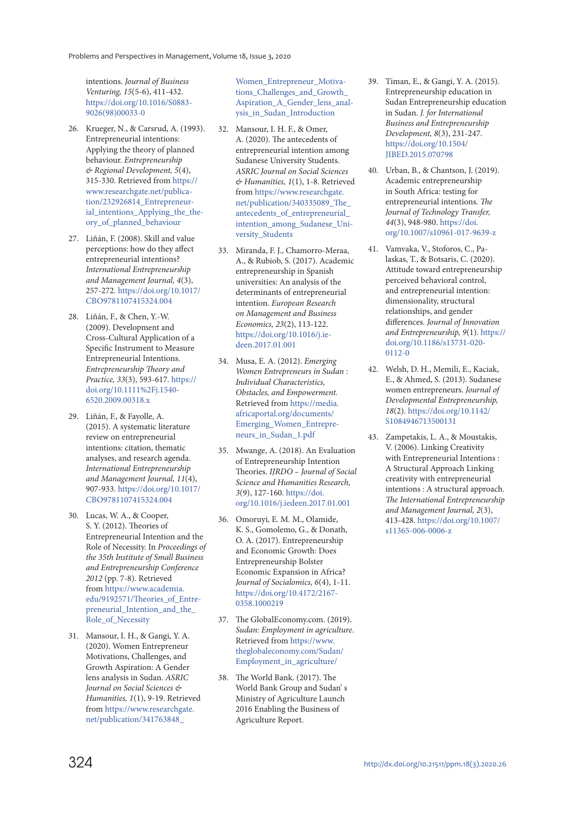intentions. Journal of Business Venturing, 15(5-6), 411-432. https://doi.org/10.1016/S0883- 9026(98)00033-0

- 26. Krueger, N., & Carsrud, A. (1993). Entrepreneurial intentions: Applying the theory of planned behaviour. Entrepreneurship & Regional Development, 5(4), 315-330. Retrieved from https:// www.researchgate.net/publication/232926814\_Entrepreneurial\_intentions\_Applying\_the\_theory\_of\_planned\_behaviour
- 27. Liñán, F. (2008). Skill and value perceptions: how do they affect entrepreneurial intentions? International Entrepreneurship and Management Journal, 4(3), 257-272. https://doi.org/10.1017/ CBO9781107415324.004
- 28. Liñán, F., & Chen, Y.-W. (2009). Development and Cross-Cultural Application of a Specific Instrument to Measure Entrepreneurial Intentions. Entrepreneurship Theory and Practice, 33(3), 593-617. https:// doi.org/10.1111%2Fj.1540- 6520.2009.00318.x
- 29. Liñán, F., & Fayolle, A. (2015). A systematic literature review on entrepreneurial intentions: citation, thematic analyses, and research agenda. International Entrepreneurship and Management Journal, 11(4), 907-933. https://doi.org/10.1017/ CBO9781107415324.004
- 30. Lucas, W. A., & Cooper, S. Y. (2012). Theories of Entrepreneurial Intention and the Role of Necessity. In Proceedings of the 35th Institute of Small Business and Entrepreneurship Conference 2012 (pp. 7-8). Retrieved from https://www.academia. edu/9192571/Theories\_of\_Entrepreneurial Intention and the Role of Necessity
- 31. Mansour, I. H., & Gangi, Y. A. (2020). Women Entrepreneur Motivations, Challenges, and Growth Aspiration: A Gender lens analysis in Sudan. ASRIC Journal on Social Sciences & Humanities, 1(1), 9-19. Retrieved from https://www.researchgate. net/publication/341763848\_

Women Entrepreneur Motivations\_Challenges\_and\_Growth Aspiration\_A\_Gender\_lens\_analysis in Sudan Introduction

- 32. Mansour, I. H. F., & Omer, A. (2020). The antecedents of entrepreneurial intention among Sudanese University Students. ASRIC Journal on Social Sciences & Humanities, 1(1), 1-8. Retrieved from https://www.researchgate. net/publication/340335089\_The\_ antecedents\_of\_entrepreneurial\_ intention\_among\_Sudanese\_University\_Students
- 33. Miranda, F. J., Chamorro-Meraa, A., & Rubiob, S. (2017). Academic entrepreneurship in Spanish universities: An analysis of the determinants of entrepreneurial intention. European Research on Management and Business Economics, 23(2), 113-122. https://doi.org/10.1016/j.iedeen.2017.01.001
- 34. Musa, E. A. (2012). Emerging Women Entrepreneurs in Sudan : Individual Characteristics, Obstacles, and Empowerment. Retrieved from https://media. africaportal.org/documents/ Emerging\_Women\_Entrepreneurs\_in\_Sudan\_1.pdf
- 35. Mwange, A. (2018). An Evaluation of Entrepreneurship Intention Theories. IJRDO – Journal of Social Science and Humanities Research, 3(9), 127-160. https://doi. org/10.1016/j.iedeen.2017.01.001
- 36. Omoruyi, E. M. M., Olamide, K. S., Gomolemo, G., & Donath, O. A. (2017). Entrepreneurship and Economic Growth: Does Entrepreneurship Bolster Economic Expansion in Africa? Journal of Socialomics, 6(4), 1-11. https://doi.org/10.4172/2167- 0358.1000219
- 37. The GlobalEconomy.com. (2019). Sudan: Employment in agriculture. Retrieved from https://www. theglobaleconomy.com/Sudan/ Employment\_in\_agriculture/
- 38. The World Bank. (2017). The World Bank Group and Sudan' s Ministry of Agriculture Launch 2016 Enabling the Business of Agriculture Report.
- 39. Timan, E., & Gangi, Y. A. (2015). Entrepreneurship education in Sudan Entrepreneurship education in Sudan. J. for International Business and Entrepreneurship Development, 8(3), 231-247. https://doi.org/10.1504/ JIBED.2015.070798
- 40. Urban, B., & Chantson, J. (2019). Academic entrepreneurship in South Africa: testing for entrepreneurial intentions. The Journal of Technology Transfer, 44(3), 948-980. https://doi. org/10.1007/s10961-017-9639-z
- 41. Vamvaka, V., Stoforos, C., Palaskas, T., & Botsaris, C. (2020). Attitude toward entrepreneurship perceived behavioral control, and entrepreneurial intention: dimensionality, structural relationships, and gender differences. Journal of Innovation and Entrepreneurship, 9(1). https:// doi.org/10.1186/s13731-020- 0112-0
- 42. Welsh, D. H., Memili, E., Kaciak, E., & Ahmed, S. (2013). Sudanese women entrepreneurs. Journal of Developmental Entrepreneurship, 18(2). https://doi.org/10.1142/ S1084946713500131
- 43. Zampetakis, L. A., & Moustakis, V. (2006). Linking Creativity with Entrepreneurial Intentions : A Structural Approach Linking creativity with entrepreneurial intentions : A structural approach. The International Entrepreneurship and Management Journal, 2(3), 413-428. https://doi.org/10.1007/ s11365-006-0006-z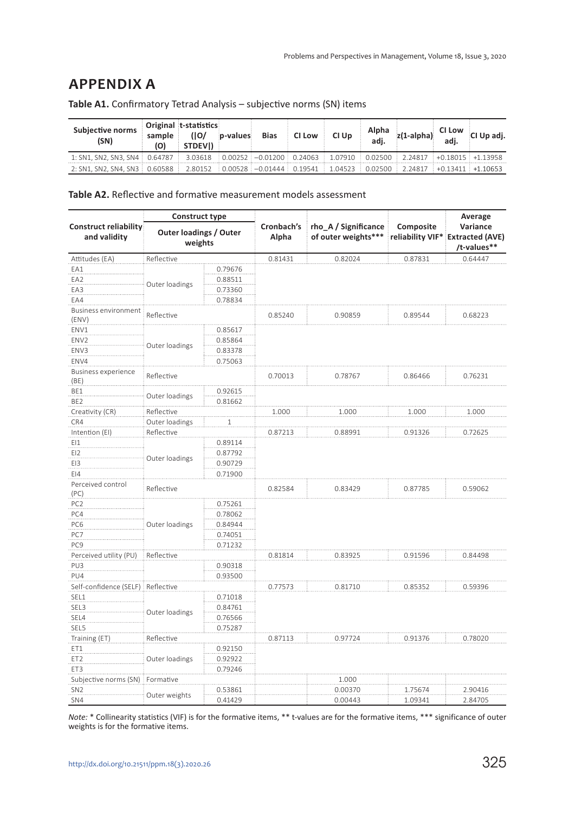### **APPENDIX A**

| <b>Subjective norms</b><br>(SN)                                                                                                                                                                         | sample<br>(O) | Original t-statistics<br>(10/<br>STDEVI) | ip-values | <b>Bias</b> | <b>CI Low</b> | CI Up | Alpha<br>adj. |                                                                                                                              | $\begin{array}{ c c c c }\n\hline\nz(1\text{-alpha}) & & \text{CI Low} & \text{CI Up adj.} \\ \hline\n\end{array}$ |
|---------------------------------------------------------------------------------------------------------------------------------------------------------------------------------------------------------|---------------|------------------------------------------|-----------|-------------|---------------|-------|---------------|------------------------------------------------------------------------------------------------------------------------------|--------------------------------------------------------------------------------------------------------------------|
| 1: SN1, SN2, SN3, SN4 $\pm$ 0.64787 $\pm$                                                                                                                                                               |               |                                          |           |             |               |       |               | $3.03618$ $\pm$ 0.00252 $\pm$ -0.01200 $\pm$ 0.24063 $\pm$ 1.07910 $\pm$ 0.02500 $\pm$ 2.24817 $\pm$ +0.18015 $\pm$ +1.13958 |                                                                                                                    |
| $2:$ SN1, SN2, SN4, SN3 $\vdots$ 0.60588 $\vdots$ 2.80152 $\vdots$ 0.00528 $\vdots$ $-$ 0.01444 $\vdots$ 0.19541 $\vdots$ 1.04523 $\vdots$ 0.02500 $\vdots$ 2.24817 $\vdots$ +0.13411 $\vdots$ +1.10653 |               |                                          |           |             |               |       |               |                                                                                                                              |                                                                                                                    |

**Table A1.** Confirmatory Tetrad Analysis – subjective norms (SN) items

**Table A2.** Reflective and formative measurement models assessment

|                                               | <b>Construct type</b>                    |         |                     |                                             |           | Average                                                     |  |
|-----------------------------------------------|------------------------------------------|---------|---------------------|---------------------------------------------|-----------|-------------------------------------------------------------|--|
| <b>Construct reliability:</b><br>and validity | <b>Outer loadings / Outer</b><br>weights |         | Cronbach's<br>Alpha | rho_A / Significance<br>of outer weights*** | Composite | Variance<br>reliability VIF* Extracted (AVE)<br>/t-values** |  |
| Attitudes (EA)                                | Reflective                               |         | 0.81431             | 0.82024                                     | 0.87831   | 0.64447                                                     |  |
| EA1                                           |                                          | 0.79676 |                     |                                             |           |                                                             |  |
| FA <sub>2</sub>                               |                                          | 0.88511 |                     |                                             |           |                                                             |  |
| EA3                                           | Outer loadings                           | 0.73360 |                     |                                             |           |                                                             |  |
| EA4                                           |                                          | 0.78834 |                     |                                             |           |                                                             |  |
| <b>Business environment</b>                   |                                          |         |                     |                                             |           |                                                             |  |
| (ENV)                                         | Reflective                               |         | 0.85240             | 0.90859                                     | 0.89544   | 0.68223                                                     |  |
| ENV1                                          |                                          | 0.85617 |                     |                                             |           |                                                             |  |
| ENV <sub>2</sub>                              | Outer loadings                           | 0.85864 |                     |                                             |           |                                                             |  |
| ENV3                                          |                                          | 0.83378 |                     |                                             |           |                                                             |  |
| ENV4                                          |                                          | 0.75063 |                     |                                             |           |                                                             |  |
| <b>Business experience</b>                    | Reflective                               |         | 0.70013             | 0.78767                                     | 0.86466   | 0.76231                                                     |  |
| (BE)                                          |                                          |         |                     |                                             |           |                                                             |  |
| BE1                                           | Outer loadings                           | 0.92615 |                     |                                             |           |                                                             |  |
| BE <sub>2</sub>                               |                                          | 0.81662 |                     |                                             |           |                                                             |  |
| Creativity (CR)                               | Reflective                               |         | 1.000               | 1.000                                       | 1.000     | 1.000                                                       |  |
| CR4                                           | Outer loadings                           | 1       |                     |                                             |           |                                                             |  |
| Intention (EI)                                | Reflective                               |         | 0.87213             | 0.88991                                     | 0.91326   | 0.72625                                                     |  |
| EI1                                           |                                          | 0.89114 |                     |                                             |           |                                                             |  |
| E12                                           | Outer loadings                           | 0.87792 |                     |                                             |           |                                                             |  |
| EI3                                           |                                          | 0.90729 |                     |                                             |           |                                                             |  |
| $E$ <sub>14</sub>                             |                                          | 0.71900 |                     |                                             |           |                                                             |  |
| Perceived control                             | Reflective                               |         | 0.82584             | 0.83429                                     | 0.87785   | 0.59062                                                     |  |
| (PC)                                          |                                          |         |                     |                                             |           |                                                             |  |
| PC <sub>2</sub>                               |                                          | 0.75261 |                     |                                             |           |                                                             |  |
| PC4                                           |                                          | 0.78062 |                     |                                             |           |                                                             |  |
| PC6                                           | Outer loadings                           | 0.84944 |                     |                                             |           |                                                             |  |
| PC7                                           |                                          | 0.74051 |                     |                                             |           |                                                             |  |
| PC <sub>9</sub>                               |                                          | 0.71232 |                     |                                             |           |                                                             |  |
| Perceived utility (PU)                        | Reflective                               |         | 0.81814             | 0.83925                                     | 0.91596   | 0.84498                                                     |  |
| PU3                                           |                                          | 0.90318 |                     |                                             |           |                                                             |  |
| PU4                                           |                                          | 0.93500 |                     |                                             |           |                                                             |  |
| Self-confidence (SELF) Reflective             |                                          |         | 0.77573             | 0.81710                                     | 0.85352   | 0.59396                                                     |  |
| SEL1                                          |                                          | 0.71018 |                     |                                             |           |                                                             |  |
| SEL3                                          |                                          | 0.84761 |                     |                                             |           |                                                             |  |
| SEL4                                          | Outer loadings                           | 0.76566 |                     |                                             |           |                                                             |  |
| SEL5                                          |                                          | 0.75287 |                     |                                             |           |                                                             |  |
| Training (ET)                                 | Reflective                               |         | 0.87113             | 0.97724                                     | 0.91376   | 0.78020                                                     |  |
| ET1                                           |                                          | 0.92150 |                     |                                             |           |                                                             |  |
| ET <sub>2</sub>                               | Outer loadings                           | 0.92922 |                     |                                             |           |                                                             |  |
| ET3                                           |                                          | 0.79246 |                     |                                             |           |                                                             |  |
| Subjective norms (SN)                         | Formative                                |         |                     | 1.000                                       |           |                                                             |  |
| SN <sub>2</sub>                               |                                          | 0.53861 |                     | 0.00370                                     | 1.75674   | 2.90416                                                     |  |
| SN4                                           | Outer weights                            | 0.41429 |                     | 0.00443                                     | 1.09341   | 2.84705                                                     |  |

*Note:* \* Collinearity statistics (VIF) is for the formative items, \*\* t-values are for the formative items, \*\*\* significance of outer weights is for the formative items.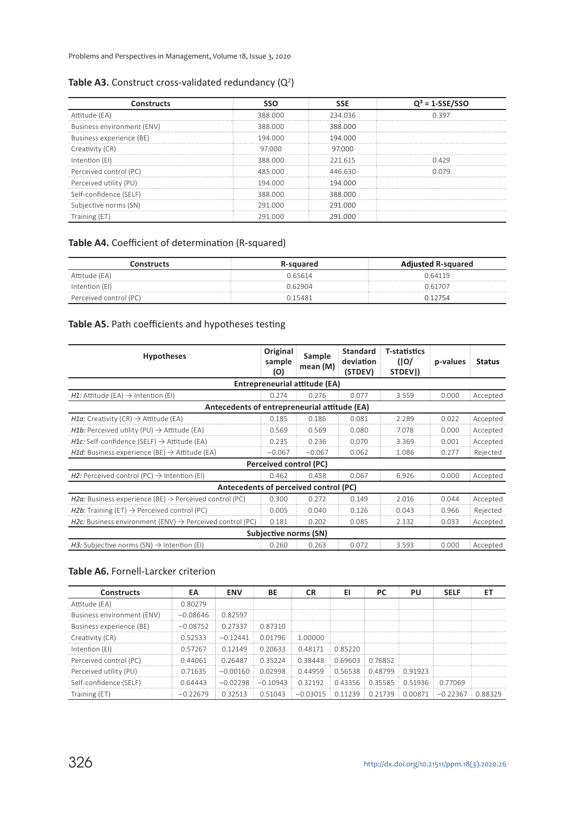Problems and Perspectives in Management, Volume 18, Issue 3, 2020

#### Table A3. Construct cross-validated redundancy  $(Q<sup>2</sup>)$

| Constructs                 |         | SSE     | $Q^2 = 1-SSE/SSC$ |
|----------------------------|---------|---------|-------------------|
| Attitude (EA)              | 388,000 | 234.036 | ก วฺ97            |
| Business environment (ENV) | 388.000 | 388,000 |                   |
| Business experience (BE)   | 194 NNN | 194 000 |                   |
| Creativity (CR)            | 97000   | 97.000  |                   |
| Intention (EI)             | 388.000 | 221615  | በ 429             |
| Perceived control (PC)     | 485 000 | 446 630 |                   |
| Perceived utility (PU)     | 194 000 | 194.000 |                   |
| Self-confidence (SELF)     | 388,000 | 388,000 |                   |
| Subjective norms (SN)      | 291.000 | 291 000 |                   |
|                            | 291.000 | 291 000 |                   |

#### **Table A4.** Coefficient of determination (R-squared)

| Constructs             | <b>R-sauared</b> | <b>Adjusted R-squared</b> |  |  |
|------------------------|------------------|---------------------------|--|--|
| Attitude (EA)          | ) 65614          | 0.64119                   |  |  |
| Intention (EI)         | 162904           | 61707                     |  |  |
| Perceived control (PC) | 15481 (          |                           |  |  |

#### **Table A5.** Path coefficients and hypotheses testing

| <b>Hypotheses</b>                                                    | Original<br>sample<br>(O) | Sample<br>mean (M)            | <b>Standard</b><br>deviation<br>(STDEV) | <b>T-statistics</b><br>(10)<br>STDEVI) | p-values | <b>Status</b> |  |  |  |
|----------------------------------------------------------------------|---------------------------|-------------------------------|-----------------------------------------|----------------------------------------|----------|---------------|--|--|--|
|                                                                      |                           | Entrepreneurial attitude (EA) |                                         |                                        |          |               |  |  |  |
| $H1$ : Attitude (EA) $\rightarrow$ Intention (EI)                    | 0.274                     | 0.276                         | 0.077                                   | 3.559                                  | 0.000    | Accepted      |  |  |  |
| Antecedents of entrepreneurial attitude (EA)                         |                           |                               |                                         |                                        |          |               |  |  |  |
| <i>H1a:</i> Creativity (CR) $\rightarrow$ Attitude (EA)              | 0.185                     | 0.186                         | 0.081                                   | 2.289                                  | 0.022    | Accepted      |  |  |  |
| H1b: Perceived utility (PU) $\rightarrow$ Attitude (EA)              | 0.569                     | 0.569                         | 0.080                                   | 7.078                                  | 0.000    | Accepted      |  |  |  |
| <i>H1c:</i> Self-confidence (SELF) $\rightarrow$ Attitude (EA)       | 0.235                     | 0.236                         | 0.070                                   | 3.369                                  | 0.001    | Accepted      |  |  |  |
| <i>H1d:</i> Business experience (BE) $\rightarrow$ Attitude (EA)     | $-0.067$                  | $-0.067$                      | 0.062                                   | 1.086                                  | 0.277    | Rejected      |  |  |  |
|                                                                      | Perceived control (PC)    |                               |                                         |                                        |          |               |  |  |  |
| H2: Perceived control (PC) $\rightarrow$ Intention (EI)              | 0.462                     | 0.458                         | 0.067                                   | 6.926                                  | 0.000    | Accepted      |  |  |  |
| Antecedents of perceived control (PC)                                |                           |                               |                                         |                                        |          |               |  |  |  |
| H2a: Business experience (BE) -> Perceived control (PC)              | 0.300                     | 0.272                         | 0.149                                   | 2.016                                  | 0.044    | Accepted      |  |  |  |
| H2b: Training (ET) $\rightarrow$ Perceived control (PC)              | 0.005                     | 0.040                         | 0.126                                   | 0.043                                  | 0.966    | Rejected      |  |  |  |
| H2c: Business environment (ENV) $\rightarrow$ Perceived control (PC) | 0.181                     | 0.202                         | 0.085                                   | 2.132                                  | 0.033    | Accepted      |  |  |  |
| Subjective norms (SN)                                                |                           |                               |                                         |                                        |          |               |  |  |  |
| <i>H3:</i> Subjective norms (SN) $\rightarrow$ Intention (EI)        | 0.260                     | 0.263                         | 0.072                                   | 3.593                                  | 0.000    | Accepted      |  |  |  |

#### **Table A6.** Fornell-Larcker criterion

| <b>Constructs</b>          | EА         | <b>ENV</b>   | ВE         |                                                           | ΕI                | PС | PU | <b>SELF</b>                                         |  |
|----------------------------|------------|--------------|------------|-----------------------------------------------------------|-------------------|----|----|-----------------------------------------------------|--|
| Attitude (EA)              | 0.80279    |              |            |                                                           |                   |    |    |                                                     |  |
| Business environment (ENV) | $-0.08646$ | 0.82597      |            |                                                           |                   |    |    |                                                     |  |
| Business experience (BE)   | $-0.08752$ | 0.27337      | 0.87310    |                                                           |                   |    |    |                                                     |  |
| Creativity (CR)            | 052533     | $-0.12441$   | 0.01796    | 100000                                                    |                   |    |    |                                                     |  |
| Intention (EI)             | 0.57267    | 0.12149      | 0.20633    | 048171                                                    | 0.85220           |    |    |                                                     |  |
| Perceived control (PC)     | 0.44061    | 0.26487      | 035224     | 038448                                                    | 0.69603 : 0.76852 |    |    |                                                     |  |
| Perceived utility (PU)     | 0.71635    | $-0.00160$ : |            | $0.02998$ $0.44959$ $0.56538$ $0.48799$ $0.91923$         |                   |    |    |                                                     |  |
| Self-confidence (SELF)     | 0.64443    | $-0.02298$   | $-0.10943$ | $0.32192 \pm 0.43356 \pm 0.35585 \pm 0.51936 \pm 0.77069$ |                   |    |    |                                                     |  |
| Training (ET               | $-0.22679$ | 0.32513      | 0.51043    |                                                           |                   |    |    | $-0.03015$ 0.11239 0.21739 0.00871 -0.22367 0.88329 |  |